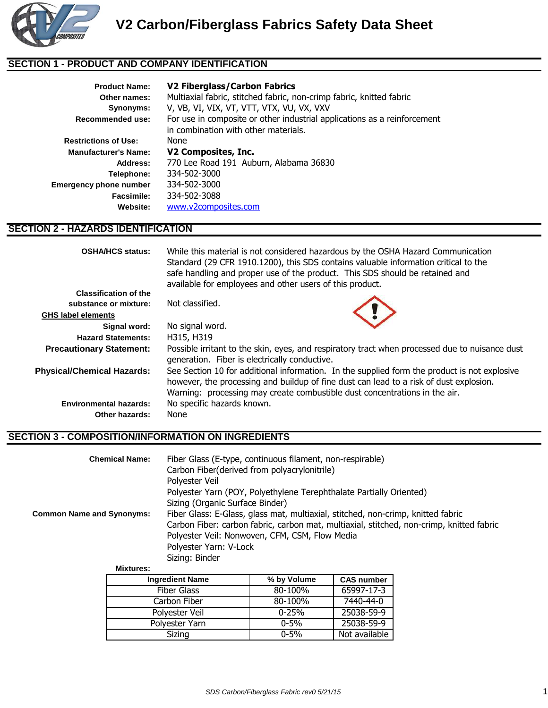

### **SECTION 1 - PRODUCT AND COMPANY IDENTIFICATION**

| <b>Product Name:</b>          | V2 Fiberglass/Carbon Fabrics                                             |  |  |  |
|-------------------------------|--------------------------------------------------------------------------|--|--|--|
| Other names:                  | Multiaxial fabric, stitched fabric, non-crimp fabric, knitted fabric     |  |  |  |
| Synonyms:                     | V, VB, VI, VIX, VT, VTT, VTX, VU, VX, VXV                                |  |  |  |
| Recommended use:              | For use in composite or other industrial applications as a reinforcement |  |  |  |
|                               | in combination with other materials.                                     |  |  |  |
| <b>Restrictions of Use:</b>   | None                                                                     |  |  |  |
| <b>Manufacturer's Name:</b>   | V2 Composites, Inc.                                                      |  |  |  |
| Address:                      | 770 Lee Road 191 Auburn, Alabama 36830                                   |  |  |  |
| Telephone:                    | 334-502-3000                                                             |  |  |  |
| <b>Emergency phone number</b> | 334-502-3000                                                             |  |  |  |
| Facsimile:                    | 334-502-3088                                                             |  |  |  |
| Website:                      | www.v2composites.com                                                     |  |  |  |

## **SECTION 2 - HAZARDS IDENTIFICATION**

| <b>OSHA/HCS status:</b>           | While this material is not considered hazardous by the OSHA Hazard Communication<br>Standard (29 CFR 1910.1200), this SDS contains valuable information critical to the<br>safe handling and proper use of the product. This SDS should be retained and<br>available for employees and other users of this product. |  |  |  |
|-----------------------------------|---------------------------------------------------------------------------------------------------------------------------------------------------------------------------------------------------------------------------------------------------------------------------------------------------------------------|--|--|--|
| <b>Classification of the</b>      |                                                                                                                                                                                                                                                                                                                     |  |  |  |
| substance or mixture:             | Not classified.                                                                                                                                                                                                                                                                                                     |  |  |  |
| <b>GHS label elements</b>         |                                                                                                                                                                                                                                                                                                                     |  |  |  |
| Signal word:                      | No signal word.                                                                                                                                                                                                                                                                                                     |  |  |  |
| <b>Hazard Statements:</b>         | H315, H319                                                                                                                                                                                                                                                                                                          |  |  |  |
| <b>Precautionary Statement:</b>   | Possible irritant to the skin, eyes, and respiratory tract when processed due to nuisance dust<br>generation. Fiber is electrically conductive.                                                                                                                                                                     |  |  |  |
| <b>Physical/Chemical Hazards:</b> | See Section 10 for additional information. In the supplied form the product is not explosive<br>however, the processing and buildup of fine dust can lead to a risk of dust explosion.<br>Warning: processing may create combustible dust concentrations in the air.                                                |  |  |  |
| <b>Environmental hazards:</b>     | No specific hazards known.                                                                                                                                                                                                                                                                                          |  |  |  |
| Other hazards:                    | None                                                                                                                                                                                                                                                                                                                |  |  |  |

#### **SECTION 3 - COMPOSITION/INFORMATION ON INGREDIENTS**

| <b>Chemical Name:</b>            | Fiber Glass (E-type, continuous filament, non-respirable)                                |  |  |
|----------------------------------|------------------------------------------------------------------------------------------|--|--|
|                                  | Carbon Fiber(derived from polyacrylonitrile)                                             |  |  |
|                                  | Polvester Veil                                                                           |  |  |
|                                  | Polyester Yarn (POY, Polyethylene Terephthalate Partially Oriented)                      |  |  |
|                                  | Sizing (Organic Surface Binder)                                                          |  |  |
| <b>Common Name and Synonyms:</b> | Fiber Glass: E-Glass, glass mat, multiaxial, stitched, non-crimp, knitted fabric         |  |  |
|                                  | Carbon Fiber: carbon fabric, carbon mat, multiaxial, stitched, non-crimp, knitted fabric |  |  |
|                                  | Polyester Veil: Nonwoven, CFM, CSM, Flow Media                                           |  |  |
|                                  | Polyester Yarn: V-Lock                                                                   |  |  |
|                                  | Sizing: Binder                                                                           |  |  |

**Mixtures:**

| <b>Ingredient Name</b> | % by Volume | <b>CAS number</b> |
|------------------------|-------------|-------------------|
| <b>Fiber Glass</b>     | 80-100%     | 65997-17-3        |
| Carbon Fiber           | 80-100%     | 7440-44-0         |
| Polyester Veil         | $0 - 25%$   | 25038-59-9        |
| Polyester Yarn         | $0 - 5\%$   | 25038-59-9        |
| Sizing                 | $0 - 5\%$   | Not available     |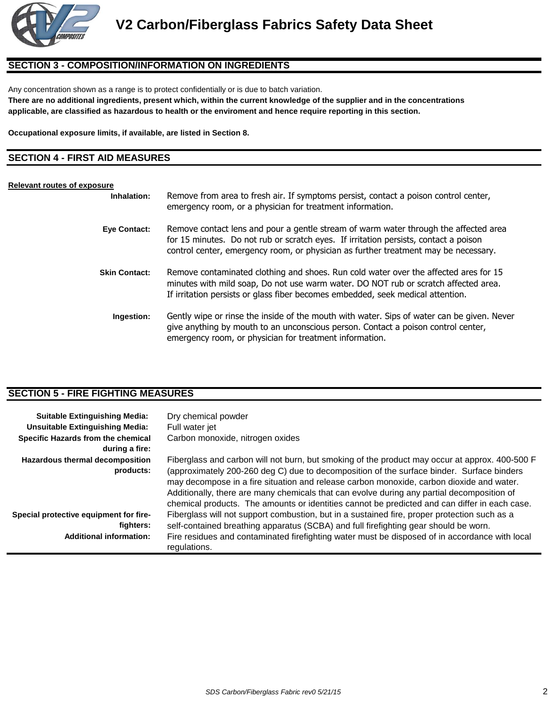

#### **SECTION 3 - COMPOSITION/INFORMATION ON INGREDIENTS**

Any concentration shown as a range is to protect confidentially or is due to batch variation.

**There are no additional ingredients, present which, within the current knowledge of the supplier and in the concentrations applicable, are classified as hazardous to health or the enviroment and hence require reporting in this section.**

**Occupational exposure limits, if available, are listed in Section 8.**

## **SECTION 4 - FIRST AID MEASURES**

#### **Relevant routes of exposure**

| Inhalation:          | Remove from area to fresh air. If symptoms persist, contact a poison control center,<br>emergency room, or a physician for treatment information.                                                                                                                   |
|----------------------|---------------------------------------------------------------------------------------------------------------------------------------------------------------------------------------------------------------------------------------------------------------------|
| <b>Eye Contact:</b>  | Remove contact lens and pour a gentle stream of warm water through the affected area<br>for 15 minutes. Do not rub or scratch eyes. If irritation persists, contact a poison<br>control center, emergency room, or physician as further treatment may be necessary. |
| <b>Skin Contact:</b> | Remove contaminated clothing and shoes. Run cold water over the affected ares for 15<br>minutes with mild soap, Do not use warm water. DO NOT rub or scratch affected area.<br>If irritation persists or glass fiber becomes embedded, seek medical attention.      |
| Ingestion:           | Gently wipe or rinse the inside of the mouth with water. Sips of water can be given. Never<br>give anything by mouth to an unconscious person. Contact a poison control center,<br>emergency room, or physician for treatment information.                          |
|                      |                                                                                                                                                                                                                                                                     |

#### **SECTION 5 - FIRE FIGHTING MEASURES**

| <b>Suitable Extinguishing Media:</b><br><b>Unsuitable Extinguishing Media:</b><br>Specific Hazards from the chemical<br>during a fire: | Dry chemical powder<br>Full water jet<br>Carbon monoxide, nitrogen oxides                                                                                                                                                                                                                                                                                                                                                                                                              |
|----------------------------------------------------------------------------------------------------------------------------------------|----------------------------------------------------------------------------------------------------------------------------------------------------------------------------------------------------------------------------------------------------------------------------------------------------------------------------------------------------------------------------------------------------------------------------------------------------------------------------------------|
| Hazardous thermal decomposition<br>products:                                                                                           | Fiberglass and carbon will not burn, but smoking of the product may occur at approx. 400-500 F<br>(approximately 200-260 deg C) due to decomposition of the surface binder. Surface binders<br>may decompose in a fire situation and release carbon monoxide, carbon dioxide and water.<br>Additionally, there are many chemicals that can evolve during any partial decomposition of<br>chemical products. The amounts or identities cannot be predicted and can differ in each case. |
| Special protective equipment for fire-<br>fighters:                                                                                    | Fiberglass will not support combustion, but in a sustained fire, proper protection such as a<br>self-contained breathing apparatus (SCBA) and full firefighting gear should be worn.                                                                                                                                                                                                                                                                                                   |
| <b>Additional information:</b>                                                                                                         | Fire residues and contaminated firefighting water must be disposed of in accordance with local<br>regulations.                                                                                                                                                                                                                                                                                                                                                                         |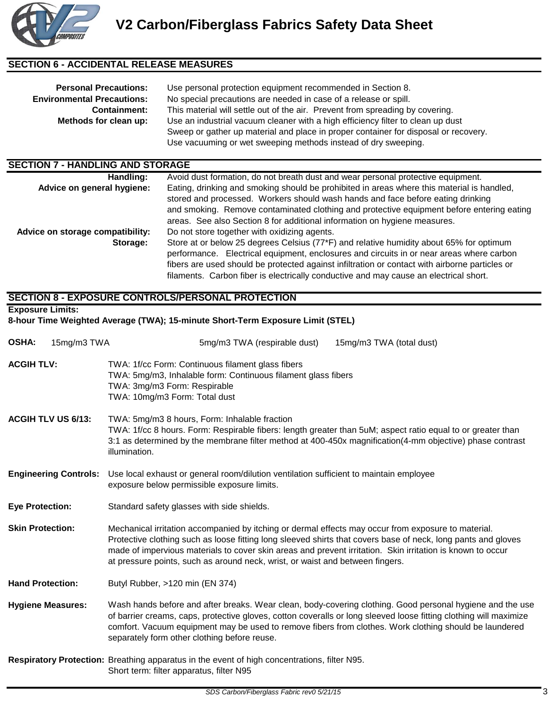

#### **SECTION 6 - ACCIDENTAL RELEASE MEASURES**

| <b>Personal Precautions:</b><br><b>Environmental Precautions:</b> | Use personal protection equipment recommended in Section 8.<br>No special precautions are needed in case of a release or spill.                                        |  |  |  |
|-------------------------------------------------------------------|------------------------------------------------------------------------------------------------------------------------------------------------------------------------|--|--|--|
| <b>Containment:</b>                                               | This material will settle out of the air. Prevent from spreading by covering.                                                                                          |  |  |  |
| Methods for clean up:                                             | Use an industrial vacuum cleaner with a high efficiency filter to clean up dust<br>Sweep or gather up material and place in proper container for disposal or recovery. |  |  |  |
|                                                                   | Use vacuuming or wet sweeping methods instead of dry sweeping.                                                                                                         |  |  |  |

## **SECTION 7 - HANDLING AND STORAGE**

| Handling:                        | Avoid dust formation, do not breath dust and wear personal protective equipment.                                                                                                                                                                                                                                                                                               |
|----------------------------------|--------------------------------------------------------------------------------------------------------------------------------------------------------------------------------------------------------------------------------------------------------------------------------------------------------------------------------------------------------------------------------|
| Advice on general hygiene:       | Eating, drinking and smoking should be prohibited in areas where this material is handled,<br>stored and processed. Workers should wash hands and face before eating drinking<br>and smoking. Remove contaminated clothing and protective equipment before entering eating<br>areas. See also Section 8 for additional information on hygiene measures.                        |
| Advice on storage compatibility: | Do not store together with oxidizing agents.                                                                                                                                                                                                                                                                                                                                   |
| Storage:                         | Store at or below 25 degrees Celsius (77*F) and relative humidity about 65% for optimum<br>performance. Electrical equipment, enclosures and circuits in or near areas where carbon<br>fibers are used should be protected against infiltration or contact with airborne particles or<br>filaments. Carbon fiber is electrically conductive and may cause an electrical short. |

#### **SECTION 8 - EXPOSURE CONTROLS/PERSONAL PROTECTION**

**8-hour Time Weighted Average (TWA); 15-minute Short-Term Exposure Limit (STEL)**

**Exposure Limits:**

| <b>OSHA:</b><br>15mg/m3 TWA  | 5mg/m3 TWA (respirable dust)<br>15mg/m3 TWA (total dust)                                                                                                                                                                                                                                                                                                                                                            |  |  |  |  |  |
|------------------------------|---------------------------------------------------------------------------------------------------------------------------------------------------------------------------------------------------------------------------------------------------------------------------------------------------------------------------------------------------------------------------------------------------------------------|--|--|--|--|--|
| <b>ACGIH TLV:</b>            | TWA: 1f/cc Form: Continuous filament glass fibers<br>TWA: 5mg/m3, Inhalable form: Continuous filament glass fibers<br>TWA: 3mg/m3 Form: Respirable<br>TWA: 10mg/m3 Form: Total dust                                                                                                                                                                                                                                 |  |  |  |  |  |
| <b>ACGIH TLV US 6/13:</b>    | TWA: 5mg/m3 8 hours, Form: Inhalable fraction<br>TWA: 1f/cc 8 hours. Form: Respirable fibers: length greater than 5uM; aspect ratio equal to or greater than<br>3:1 as determined by the membrane filter method at 400-450x magnification(4-mm objective) phase contrast<br>illumination.                                                                                                                           |  |  |  |  |  |
| <b>Engineering Controls:</b> | Use local exhaust or general room/dilution ventilation sufficient to maintain employee<br>exposure below permissible exposure limits.                                                                                                                                                                                                                                                                               |  |  |  |  |  |
| <b>Eye Protection:</b>       | Standard safety glasses with side shields.                                                                                                                                                                                                                                                                                                                                                                          |  |  |  |  |  |
| <b>Skin Protection:</b>      | Mechanical irritation accompanied by itching or dermal effects may occur from exposure to material.<br>Protective clothing such as loose fitting long sleeved shirts that covers base of neck, long pants and gloves<br>made of impervious materials to cover skin areas and prevent irritation. Skin irritation is known to occur<br>at pressure points, such as around neck, wrist, or waist and between fingers. |  |  |  |  |  |
| <b>Hand Protection:</b>      | Butyl Rubber, >120 min (EN 374)                                                                                                                                                                                                                                                                                                                                                                                     |  |  |  |  |  |
| <b>Hygiene Measures:</b>     | Wash hands before and after breaks. Wear clean, body-covering clothing. Good personal hygiene and the use<br>of barrier creams, caps, protective gloves, cotton coveralls or long sleeved loose fitting clothing will maximize<br>comfort. Vacuum equipment may be used to remove fibers from clothes. Work clothing should be laundered<br>separately form other clothing before reuse.                            |  |  |  |  |  |
|                              | Respiratory Protection: Breathing apparatus in the event of high concentrations, filter N95.<br>Short term: filter apparatus, filter N95                                                                                                                                                                                                                                                                            |  |  |  |  |  |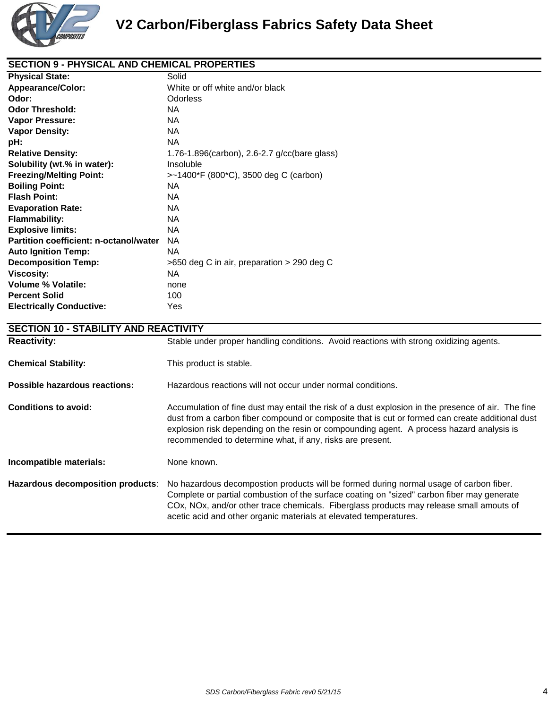

#### **SECTION 9 - PHYSICAL AND CHEMICAL PROPERTIES**

| <b>Physical State:</b>                        | Solid                                         |
|-----------------------------------------------|-----------------------------------------------|
| <b>Appearance/Color:</b>                      | White or off white and/or black               |
| Odor:                                         | Odorless                                      |
| <b>Odor Threshold:</b>                        | NA.                                           |
| <b>Vapor Pressure:</b>                        | NA.                                           |
| <b>Vapor Density:</b>                         | NA.                                           |
| pH:                                           | <b>NA</b>                                     |
| <b>Relative Density:</b>                      | 1.76-1.896(carbon), 2.6-2.7 g/cc(bare glass)  |
| Solubility (wt.% in water):                   | Insoluble                                     |
| <b>Freezing/Melting Point:</b>                | >~1400*F (800*C), 3500 deg C (carbon)         |
| <b>Boiling Point:</b>                         | NA.                                           |
| <b>Flash Point:</b>                           | NA.                                           |
| <b>Evaporation Rate:</b>                      | NA.                                           |
| <b>Flammability:</b>                          | NA.                                           |
| <b>Explosive limits:</b>                      | NA.                                           |
| <b>Partition coefficient: n-octanol/water</b> | NA.                                           |
| <b>Auto Ignition Temp:</b>                    | NA.                                           |
| <b>Decomposition Temp:</b>                    | $>650$ deg C in air, preparation $>290$ deg C |
| <b>Viscosity:</b>                             | NA.                                           |
| <b>Volume % Volatile:</b>                     | none                                          |
| <b>Percent Solid</b>                          | 100                                           |
| <b>Electrically Conductive:</b>               | Yes                                           |

## **SECTION 10 - STABILITY AND REACTIVITY** Reactivity: Stable under proper handling conditions. Avoid reactions with strong oxidizing agents. **Chemical Stability:** This product is stable. **Possible hazardous reactions:** Hazardous reactions will not occur under normal conditions. **Conditions to avoid:** Accumulation of fine dust may entail the risk of a dust explosion in the presence of air. The fine dust from a carbon fiber compound or composite that is cut or formed can create additional dust explosion risk depending on the resin or compounding agent. A process hazard analysis is recommended to determine what, if any, risks are present. **Incompatible materials:** None known. **Hazardous decomposition products**: No hazardous decompostion products will be formed during normal usage of carbon fiber. Complete or partial combustion of the surface coating on "sized" carbon fiber may generate COx, NOx, and/or other trace chemicals. Fiberglass products may release small amouts of acetic acid and other organic materials at elevated temperatures.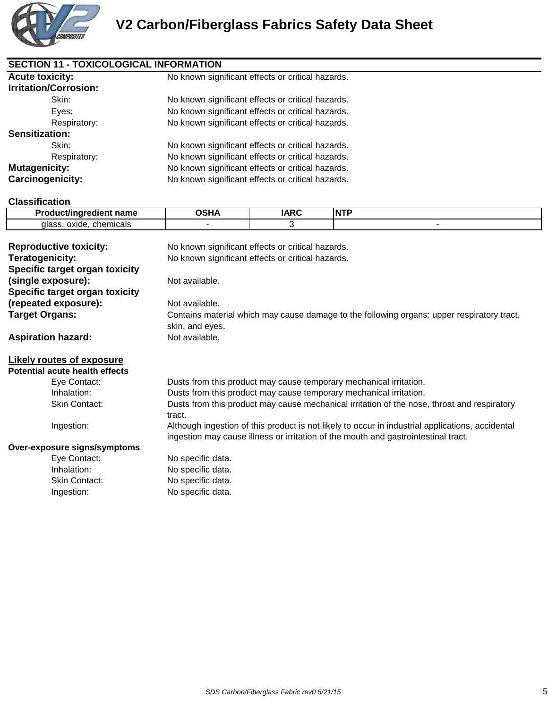

| <b>Acute toxicity:</b>       | No known significant effects or critical hazards. |             |            |  |  |
|------------------------------|---------------------------------------------------|-------------|------------|--|--|
| <b>Irritation/Corrosion:</b> |                                                   |             |            |  |  |
| Skin:                        | No known significant effects or critical hazards. |             |            |  |  |
| Eves:                        | No known significant effects or critical hazards. |             |            |  |  |
| Respiratory:                 | No known significant effects or critical hazards. |             |            |  |  |
| Sensitization:               |                                                   |             |            |  |  |
| Skin:                        | No known significant effects or critical hazards. |             |            |  |  |
| Respiratory:                 | No known significant effects or critical hazards. |             |            |  |  |
| <b>Mutagenicity:</b>         | No known significant effects or critical hazards. |             |            |  |  |
| <b>Carcinogenicity:</b>      | No known significant effects or critical hazards. |             |            |  |  |
| <b>Classification</b>        |                                                   |             |            |  |  |
| Product/ingredient name      | <b>OSHA</b>                                       | <b>IARC</b> | <b>NTP</b> |  |  |

| glass, oxide, chemicals        |                                                                                                  | 3 |                                                                                    |  |  |  |
|--------------------------------|--------------------------------------------------------------------------------------------------|---|------------------------------------------------------------------------------------|--|--|--|
|                                |                                                                                                  |   |                                                                                    |  |  |  |
| <b>Reproductive toxicity:</b>  | No known significant effects or critical hazards.                                                |   |                                                                                    |  |  |  |
| Teratogenicity:                | No known significant effects or critical hazards.                                                |   |                                                                                    |  |  |  |
| Specific target organ toxicity |                                                                                                  |   |                                                                                    |  |  |  |
| (single exposure):             | Not available.                                                                                   |   |                                                                                    |  |  |  |
| Specific target organ toxicity |                                                                                                  |   |                                                                                    |  |  |  |
| (repeated exposure):           | Not available.                                                                                   |   |                                                                                    |  |  |  |
| <b>Target Organs:</b>          | Contains material which may cause damage to the following organs: upper respiratory tract,       |   |                                                                                    |  |  |  |
|                                | skin, and eyes.                                                                                  |   |                                                                                    |  |  |  |
| <b>Aspiration hazard:</b>      | Not available.                                                                                   |   |                                                                                    |  |  |  |
|                                |                                                                                                  |   |                                                                                    |  |  |  |
| Likely routes of exposure      |                                                                                                  |   |                                                                                    |  |  |  |
| Potential acute health effects |                                                                                                  |   |                                                                                    |  |  |  |
| Eye Contact:                   |                                                                                                  |   | Dusts from this product may cause temporary mechanical irritation.                 |  |  |  |
| Inhalation:                    | Dusts from this product may cause temporary mechanical irritation.                               |   |                                                                                    |  |  |  |
| Skin Contact:                  | Dusts from this product may cause mechanical irritation of the nose, throat and respiratory      |   |                                                                                    |  |  |  |
|                                | tract.                                                                                           |   |                                                                                    |  |  |  |
| Ingestion:                     | Although ingestion of this product is not likely to occur in industrial applications, accidental |   |                                                                                    |  |  |  |
|                                |                                                                                                  |   | ingestion may cause illness or irritation of the mouth and gastrointestinal tract. |  |  |  |
| Over-exposure signs/symptoms   |                                                                                                  |   |                                                                                    |  |  |  |
| Eye Contact:                   | No specific data.                                                                                |   |                                                                                    |  |  |  |
| Inhalation:                    | No specific data.                                                                                |   |                                                                                    |  |  |  |
| Skin Contact:                  | No specific data.                                                                                |   |                                                                                    |  |  |  |

Ingestion: No specific data.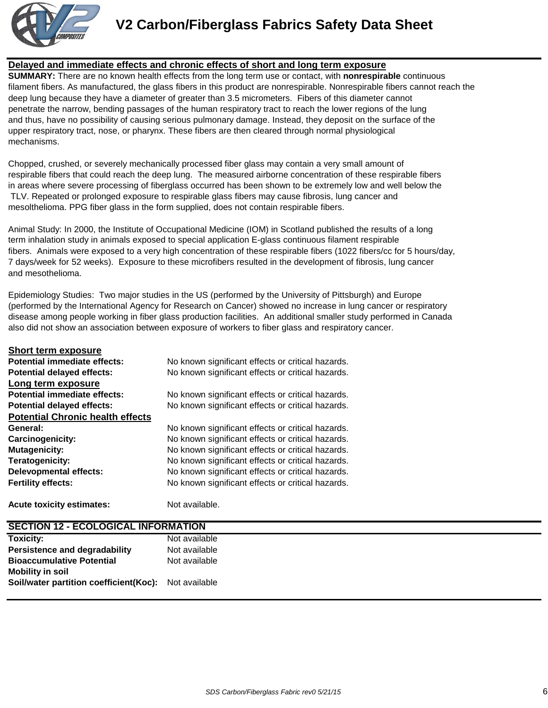

**Short term exposure**

# **V2 Carbon/Fiberglass Fabrics Safety Data Sheet**

#### **Delayed and immediate effects and chronic effects of short and long term exposure**

**SUMMARY:** There are no known health effects from the long term use or contact, with **nonrespirable** continuous filament fibers. As manufactured, the glass fibers in this product are nonrespirable. Nonrespirable fibers cannot reach the deep lung because they have a diameter of greater than 3.5 micrometers. Fibers of this diameter cannot penetrate the narrow, bending passages of the human respiratory tract to reach the lower regions of the lung and thus, have no possibility of causing serious pulmonary damage. Instead, they deposit on the surface of the upper respiratory tract, nose, or pharynx. These fibers are then cleared through normal physiological mechanisms.

Chopped, crushed, or severely mechanically processed fiber glass may contain a very small amount of respirable fibers that could reach the deep lung. The measured airborne concentration of these respirable fibers in areas where severe processing of fiberglass occurred has been shown to be extremely low and well below the TLV. Repeated or prolonged exposure to respirable glass fibers may cause fibrosis, lung cancer and mesolthelioma. PPG fiber glass in the form supplied, does not contain respirable fibers.

Animal Study: In 2000, the Institute of Occupational Medicine (IOM) in Scotland published the results of a long term inhalation study in animals exposed to special application E-glass continuous filament respirable fibers. Animals were exposed to a very high concentration of these respirable fibers (1022 fibers/cc for 5 hours/day, 7 days/week for 52 weeks). Exposure to these microfibers resulted in the development of fibrosis, lung cancer and mesothelioma.

Epidemiology Studies: Two major studies in the US (performed by the University of Pittsburgh) and Europe (performed by the International Agency for Research on Cancer) showed no increase in lung cancer or respiratory disease among people working in fiber glass production facilities. An additional smaller study performed in Canada also did not show an association between exposure of workers to fiber glass and respiratory cancer.

| <b>Acute toxicity estimates:</b>        | Not available.                                    |
|-----------------------------------------|---------------------------------------------------|
| <b>Fertility effects:</b>               | No known significant effects or critical hazards. |
| <b>Delevopmental effects:</b>           | No known significant effects or critical hazards. |
| <b>Teratogenicity:</b>                  | No known significant effects or critical hazards. |
| <b>Mutagenicity:</b>                    | No known significant effects or critical hazards. |
| Carcinogenicity:                        | No known significant effects or critical hazards. |
| General:                                | No known significant effects or critical hazards. |
| <b>Potential Chronic health effects</b> |                                                   |
| <b>Potential delayed effects:</b>       | No known significant effects or critical hazards. |
| Potential immediate effects:            | No known significant effects or critical hazards. |
| Long term exposure                      |                                                   |
| <b>Potential delayed effects:</b>       | No known significant effects or critical hazards. |
| Potential immediate effects:            | No known significant effects or critical hazards. |
| Short term exposure                     |                                                   |

| <b>SECTION 12 - ECOLOGICAL INFORMATION</b>           |               |  |
|------------------------------------------------------|---------------|--|
| <b>Toxicity:</b>                                     | Not available |  |
| <b>Persistence and degradability</b>                 | Not available |  |
| <b>Bioaccumulative Potential</b>                     | Not available |  |
| <b>Mobility in soil</b>                              |               |  |
| Soil/water partition coefficient(Koc): Not available |               |  |
|                                                      |               |  |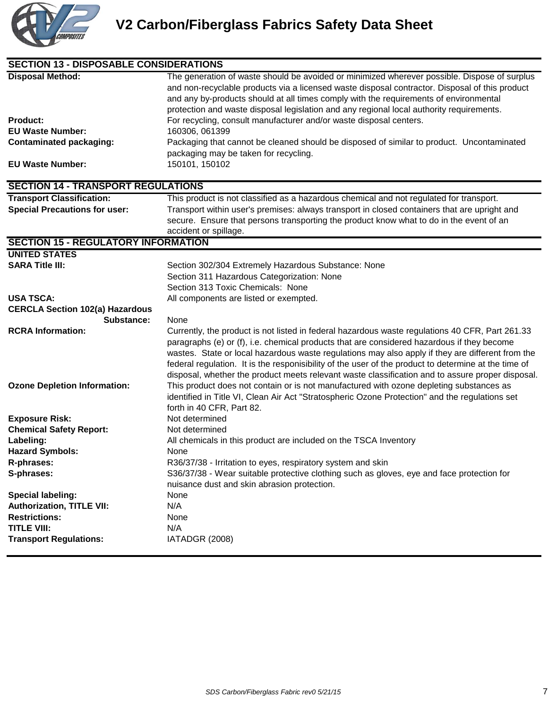

| <b>SECTION 13 - DISPOSABLE CONSIDERATIONS</b>                                                                                      |                                                                                                                                                                                                                                                                                                                                                                                                                                                                                                                                                                                                                                     |
|------------------------------------------------------------------------------------------------------------------------------------|-------------------------------------------------------------------------------------------------------------------------------------------------------------------------------------------------------------------------------------------------------------------------------------------------------------------------------------------------------------------------------------------------------------------------------------------------------------------------------------------------------------------------------------------------------------------------------------------------------------------------------------|
| <b>Disposal Method:</b><br><b>Product:</b><br><b>EU Waste Number:</b><br><b>Contaminated packaging:</b><br><b>EU Waste Number:</b> | The generation of waste should be avoided or minimized wherever possible. Dispose of surplus<br>and non-recyclable products via a licensed waste disposal contractor. Disposal of this product<br>and any by-products should at all times comply with the requirements of environmental<br>protection and waste disposal legislation and any regional local authority requirements.<br>For recycling, consult manufacturer and/or waste disposal centers.<br>160306, 061399<br>Packaging that cannot be cleaned should be disposed of similar to product. Uncontaminated<br>packaging may be taken for recycling.<br>150101, 150102 |
| <b>SECTION 14 - TRANSPORT REGULATIONS</b>                                                                                          |                                                                                                                                                                                                                                                                                                                                                                                                                                                                                                                                                                                                                                     |
| <b>Transport Classification:</b><br><b>Special Precautions for user:</b>                                                           | This product is not classified as a hazardous chemical and not regulated for transport.<br>Transport within user's premises: always transport in closed containers that are upright and<br>secure. Ensure that persons transporting the product know what to do in the event of an<br>accident or spillage.                                                                                                                                                                                                                                                                                                                         |
| <b>SECTION 15 - REGULATORY INFORMATION</b>                                                                                         |                                                                                                                                                                                                                                                                                                                                                                                                                                                                                                                                                                                                                                     |
| <b>UNITED STATES</b><br><b>SARA Title III:</b>                                                                                     | Section 302/304 Extremely Hazardous Substance: None<br>Section 311 Hazardous Categorization: None<br>Section 313 Toxic Chemicals: None                                                                                                                                                                                                                                                                                                                                                                                                                                                                                              |
| <b>USA TSCA:</b>                                                                                                                   | All components are listed or exempted.                                                                                                                                                                                                                                                                                                                                                                                                                                                                                                                                                                                              |
| <b>CERCLA Section 102(a) Hazardous</b>                                                                                             |                                                                                                                                                                                                                                                                                                                                                                                                                                                                                                                                                                                                                                     |
| Substance:                                                                                                                         | None                                                                                                                                                                                                                                                                                                                                                                                                                                                                                                                                                                                                                                |
| <b>RCRA Information:</b>                                                                                                           | Currently, the product is not listed in federal hazardous waste regulations 40 CFR, Part 261.33<br>paragraphs (e) or (f), i.e. chemical products that are considered hazardous if they become<br>wastes. State or local hazardous waste regulations may also apply if they are different from the<br>federal regulation. It is the responisibility of the user of the product to determine at the time of<br>disposal, whether the product meets relevant waste classification and to assure proper disposal.                                                                                                                       |
| <b>Ozone Depletion Information:</b>                                                                                                | This product does not contain or is not manufactured with ozone depleting substances as<br>identified in Title VI, Clean Air Act "Stratospheric Ozone Protection" and the regulations set<br>forth in 40 CFR, Part 82.                                                                                                                                                                                                                                                                                                                                                                                                              |
| <b>Exposure Risk:</b>                                                                                                              | Not determined                                                                                                                                                                                                                                                                                                                                                                                                                                                                                                                                                                                                                      |
| <b>Chemical Safety Report:</b>                                                                                                     | Not determined                                                                                                                                                                                                                                                                                                                                                                                                                                                                                                                                                                                                                      |
| Labeling:                                                                                                                          | All chemicals in this product are included on the TSCA Inventory                                                                                                                                                                                                                                                                                                                                                                                                                                                                                                                                                                    |
| <b>Hazard Symbols:</b>                                                                                                             | None                                                                                                                                                                                                                                                                                                                                                                                                                                                                                                                                                                                                                                |
| R-phrases:                                                                                                                         | R36/37/38 - Irritation to eyes, respiratory system and skin                                                                                                                                                                                                                                                                                                                                                                                                                                                                                                                                                                         |
| S-phrases:                                                                                                                         | S36/37/38 - Wear suitable protective clothing such as gloves, eye and face protection for<br>nuisance dust and skin abrasion protection.                                                                                                                                                                                                                                                                                                                                                                                                                                                                                            |
| <b>Special labeling:</b>                                                                                                           | None                                                                                                                                                                                                                                                                                                                                                                                                                                                                                                                                                                                                                                |
| <b>Authorization, TITLE VII:</b>                                                                                                   | N/A                                                                                                                                                                                                                                                                                                                                                                                                                                                                                                                                                                                                                                 |
| <b>Restrictions:</b>                                                                                                               | None                                                                                                                                                                                                                                                                                                                                                                                                                                                                                                                                                                                                                                |
| <b>TITLE VIII:</b>                                                                                                                 | N/A                                                                                                                                                                                                                                                                                                                                                                                                                                                                                                                                                                                                                                 |
| <b>Transport Regulations:</b>                                                                                                      | IATADGR (2008)                                                                                                                                                                                                                                                                                                                                                                                                                                                                                                                                                                                                                      |